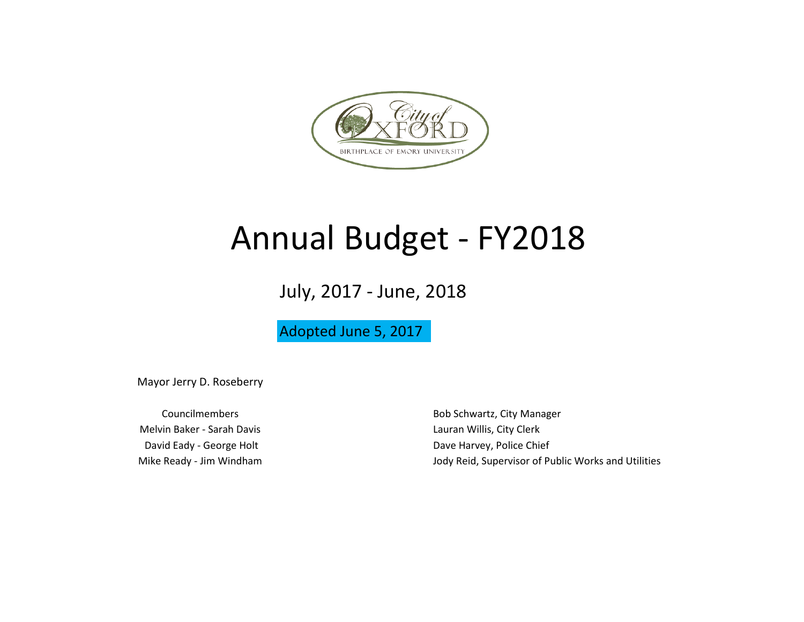

## Annual Budget - FY2018

July, 2017 - June, 2018

Adopted June 5, 2017

Mayor Jerry D. Roseberry

Melvin Baker - Sarah Davis **Lauran Willis, City Clerk** Lauran Willis, City Clerk David Eady - George Holt **David Eady - George Holt** Dave Harvey, Police Chief

Councilmembers **Bob Schwartz**, City Manager Mike Ready - Jim Windham **Journal Accord Public Works and Utilities** Jody Reid, Supervisor of Public Works and Utilities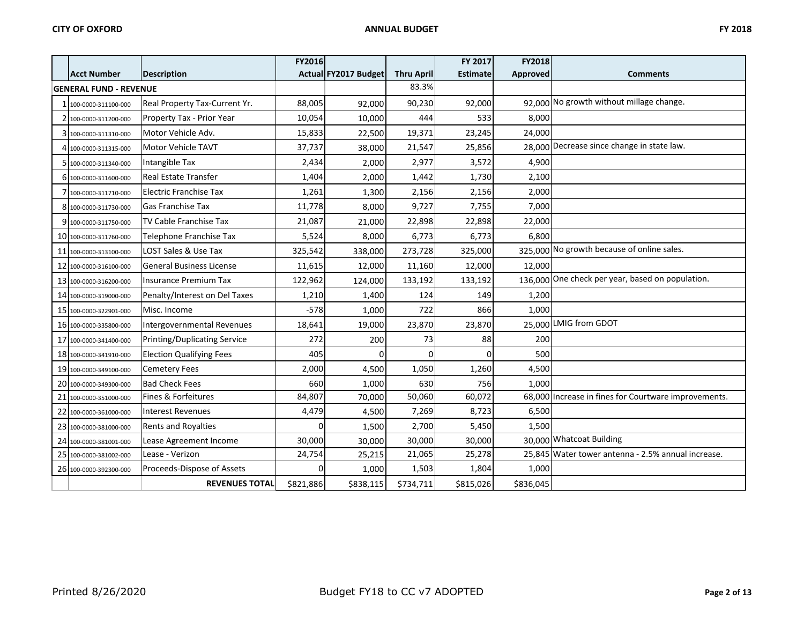|    |                               |                                     | <b>FY2016</b> |                      |                   | FY 2017         | FY2018    |                                                      |
|----|-------------------------------|-------------------------------------|---------------|----------------------|-------------------|-----------------|-----------|------------------------------------------------------|
|    | <b>Acct Number</b>            | <b>Description</b>                  |               | Actual FY2017 Budget | <b>Thru April</b> | <b>Estimate</b> | Approved  | <b>Comments</b>                                      |
|    | <b>GENERAL FUND - REVENUE</b> |                                     |               |                      | 83.3%             |                 |           |                                                      |
|    | 100-0000-311100-000           | Real Property Tax-Current Yr.       | 88,005        | 92,000               | 90,230            | 92,000          |           | 92.000 No growth without millage change.             |
|    | 2 100-0000-311200-000         | Property Tax - Prior Year           | 10,054        | 10,000               | 444               | 533             | 8,000     |                                                      |
|    | 100-0000-311310-000           | Motor Vehicle Adv.                  | 15,833        | 22,500               | 19,371            | 23,245          | 24,000    |                                                      |
|    | 4 100-0000-311315-000         | Motor Vehicle TAVT                  | 37,737        | 38,000               | 21,547            | 25,856          |           | 28,000 Decrease since change in state law.           |
|    | 5 100-0000-311340-000         | Intangible Tax                      | 2,434         | 2,000                | 2,977             | 3,572           | 4,900     |                                                      |
|    | 6 100-0000-311600-000         | <b>Real Estate Transfer</b>         | 1,404         | 2,000                | 1,442             | 1,730           | 2,100     |                                                      |
|    | 100-0000-311710-000           | Electric Franchise Tax              | 1,261         | 1,300                | 2,156             | 2,156           | 2,000     |                                                      |
|    | 8 100-0000-311730-000         | <b>Gas Franchise Tax</b>            | 11,778        | 8,000                | 9,727             | 7,755           | 7,000     |                                                      |
|    | 9 100-0000-311750-000         | TV Cable Franchise Tax              | 21,087        | 21,000               | 22,898            | 22,898          | 22,000    |                                                      |
|    | 10 100-0000-311760-000        | Telephone Franchise Tax             | 5,524         | 8,000                | 6,773             | 6,773           | 6,800     |                                                      |
| 11 | 100-0000-313100-000           | LOST Sales & Use Tax                | 325,542       | 338,000              | 273,728           | 325,000         |           | 325,000 No growth because of online sales.           |
|    | 12 100-0000-316100-000        | <b>General Business License</b>     | 11,615        | 12,000               | 11,160            | 12,000          | 12,000    |                                                      |
|    | 13 100-0000-316200-000        | <b>Insurance Premium Tax</b>        | 122,962       | 124,000              | 133,192           | 133,192         |           | 136.000 One check per year, based on population.     |
|    | 14 100-0000-319000-000        | Penalty/Interest on Del Taxes       | 1,210         | 1,400                | 124               | 149             | 1,200     |                                                      |
|    | 15 100-0000-322901-000        | Misc. Income                        | $-578$        | 1,000                | 722               | 866             | 1.000     |                                                      |
|    | 16 100-0000-335800-000        | Intergovernmental Revenues          | 18,641        | 19,000               | 23,870            | 23,870          |           | 25,000 LMIG from GDOT                                |
| 17 | 100-0000-341400-000           | <b>Printing/Duplicating Service</b> | 272           | 200                  | 73                | 88              | 200       |                                                      |
|    | 18 100-0000-341910-000        | <b>Election Qualifying Fees</b>     | 405           | $\Omega$             | $\Omega$          | $\Omega$        | 500       |                                                      |
|    | 19 100-0000-349100-000        | <b>Cemetery Fees</b>                | 2,000         | 4,500                | 1,050             | 1,260           | 4,500     |                                                      |
|    | 20 100-0000-349300-000        | <b>Bad Check Fees</b>               | 660           | 1,000                | 630               | 756             | 1,000     |                                                      |
| 21 | 100-0000-351000-000           | Fines & Forfeitures                 | 84,807        | 70,000               | 50,060            | 60,072          |           | 68,000 Increase in fines for Courtware improvements. |
|    | 22 100-0000-361000-000        | Interest Revenues                   | 4,479         | 4,500                | 7,269             | 8,723           | 6,500     |                                                      |
|    | 23 100-0000-381000-000        | Rents and Royalties                 |               | 1,500                | 2,700             | 5,450           | 1,500     |                                                      |
|    | 24 100-0000-381001-000        | Lease Agreement Income              | 30,000        | 30,000               | 30,000            | 30,000          |           | 30,000 Whatcoat Building                             |
| 25 | 100-0000-381002-000           | Lease - Verizon                     | 24,754        | 25,215               | 21,065            | 25,278          |           | 25.845 Water tower antenna - 2.5% annual increase.   |
|    | 26 100-0000-392300-000        | Proceeds-Dispose of Assets          | n             | 1,000                | 1,503             | 1,804           | 1,000     |                                                      |
|    |                               | <b>REVENUES TOTAL</b>               | \$821,886     | \$838,115            | \$734,711         | \$815,026       | \$836,045 |                                                      |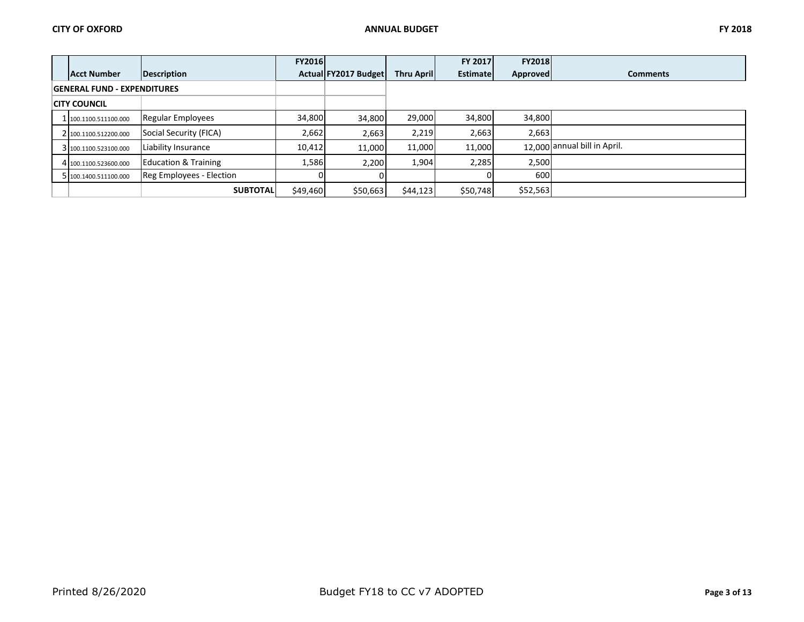|                     |                                    |                                 | <b>FY2016</b> |                      |                    | <b>FY 2017</b>  | <b>FY2018</b> |                              |
|---------------------|------------------------------------|---------------------------------|---------------|----------------------|--------------------|-----------------|---------------|------------------------------|
|                     | <b>Acct Number</b>                 | Description                     |               | Actual FY2017 Budget | <b>Thru Aprill</b> | <b>Estimate</b> | Approved      | <b>Comments</b>              |
|                     | <b>GENERAL FUND - EXPENDITURES</b> |                                 |               |                      |                    |                 |               |                              |
| <b>CITY COUNCIL</b> |                                    |                                 |               |                      |                    |                 |               |                              |
|                     | 1 100.1100.511100.000              | Regular Employees               | 34.800        | 34,800               | 29.000             | 34,800          | 34,800        |                              |
|                     | 2 100.1100.512200.000              | Social Security (FICA)          | 2,662         | 2,663                | 2,219              | 2,663           | 2,663         |                              |
|                     | 3 100.1100.523100.000              | <b>Liability Insurance</b>      | 10,412        | 11.000               | 11,000             | 11,000          |               | 12,000 annual bill in April. |
|                     | 4 100.1100.523600.000              | <b>Education &amp; Training</b> | 1,586         | 2,200                | 1,904              | 2,285           | 2,500         |                              |
|                     | 5 100.1400.511100.000              | Reg Employees - Election        |               |                      |                    |                 | 600           |                              |
|                     |                                    | <b>SUBTOTAL</b>                 | \$49,460      | \$50,663             | \$44,123           | \$50,748        | \$52,563      |                              |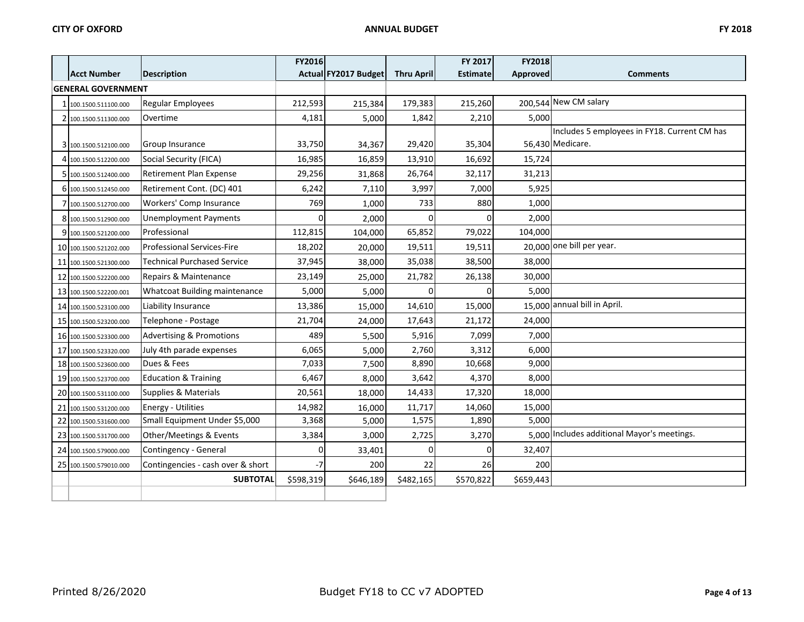|    |                           |                                     | FY2016    |                      |                   | FY 2017         | FY2018    |                                              |
|----|---------------------------|-------------------------------------|-----------|----------------------|-------------------|-----------------|-----------|----------------------------------------------|
|    | <b>Acct Number</b>        | <b>Description</b>                  |           | Actual FY2017 Budget | <b>Thru April</b> | <b>Estimate</b> | Approved  | <b>Comments</b>                              |
|    | <b>GENERAL GOVERNMENT</b> |                                     |           |                      |                   |                 |           |                                              |
|    | 100.1500.511100.000       | Regular Employees                   | 212,593   | 215,384              | 179,383           | 215,260         |           | 200,544 New CM salary                        |
|    | 2 100.1500.511300.000     | Overtime                            | 4,181     | 5,000                | 1,842             | 2,210           | 5,000     |                                              |
|    |                           |                                     |           |                      |                   |                 |           | Includes 5 employees in FY18. Current CM has |
|    | 3 100.1500.512100.000     | <b>Group Insurance</b>              | 33,750    | 34,367               | 29,420            | 35,304          |           | 56,430 Medicare.                             |
|    | 4 100.1500.512200.000     | Social Security (FICA)              | 16,985    | 16,859               | 13,910            | 16,692          | 15,724    |                                              |
|    | 5 100.1500.512400.000     | <b>Retirement Plan Expense</b>      | 29,256    | 31,868               | 26,764            | 32,117          | 31,213    |                                              |
|    | 6 100.1500.512450.000     | Retirement Cont. (DC) 401           | 6,242     | 7,110                | 3,997             | 7,000           | 5,925     |                                              |
|    | 100.1500.512700.000       | Workers' Comp Insurance             | 769       | 1,000                | 733               | 880             | 1,000     |                                              |
|    | 8 100.1500.512900.000     | <b>Unemployment Payments</b>        | n         | 2,000                |                   | $\Omega$        | 2,000     |                                              |
|    | 9 100.1500.521200.000     | Professional                        | 112,815   | 104,000              | 65,852            | 79,022          | 104,000   |                                              |
|    | 10 100.1500.521202.000    | <b>Professional Services-Fire</b>   | 18,202    | 20,000               | 19,511            | 19,511          |           | 20,000 one bill per year.                    |
|    | 11 100.1500.521300.000    | <b>Technical Purchased Service</b>  | 37,945    | 38,000               | 35,038            | 38,500          | 38,000    |                                              |
| 12 | 100.1500.522200.000       | Repairs & Maintenance               | 23,149    | 25,000               | 21,782            | 26,138          | 30,000    |                                              |
|    | 13 100.1500.522200.001    | Whatcoat Building maintenance       | 5,000     | 5,000                |                   |                 | 5,000     |                                              |
|    | 14 100.1500.523100.000    | Liability Insurance                 | 13,386    | 15,000               | 14,610            | 15,000          |           | 15,000 annual bill in April.                 |
|    | 15 100.1500.523200.000    | Telephone - Postage                 | 21,704    | 24,000               | 17,643            | 21,172          | 24,000    |                                              |
|    | 16 100.1500.523300.000    | <b>Advertising &amp; Promotions</b> | 489       | 5,500                | 5,916             | 7,099           | 7,000     |                                              |
|    | 17 100.1500.523320.000    | July 4th parade expenses            | 6,065     | 5,000                | 2,760             | 3,312           | 6,000     |                                              |
|    | 18 100.1500.523600.000    | Dues & Fees                         | 7,033     | 7,500                | 8,890             | 10,668          | 9,000     |                                              |
|    | 19 100.1500.523700.000    | <b>Education &amp; Training</b>     | 6,467     | 8,000                | 3,642             | 4,370           | 8,000     |                                              |
|    | 20 100.1500.531100.000    | Supplies & Materials                | 20,561    | 18,000               | 14,433            | 17,320          | 18,000    |                                              |
| 21 | 100.1500.531200.000       | <b>Energy - Utilities</b>           | 14,982    | 16,000               | 11,717            | 14,060          | 15,000    |                                              |
| 22 | 100.1500.531600.000       | Small Equipment Under \$5,000       | 3,368     | 5,000                | 1,575             | 1,890           | 5,000     |                                              |
|    | 23 100.1500.531700.000    | Other/Meetings & Events             | 3,384     | 3,000                | 2,725             | 3,270           |           | 5,000 Includes additional Mayor's meetings.  |
|    | 24 100.1500.579000.000    | Contingency - General               | ŋ         | 33,401               | <sup>0</sup>      |                 | 32,407    |                                              |
|    | 25 100.1500.579010.000    | Contingencies - cash over & short   | $-7$      | 200                  | 22                | 26              | 200       |                                              |
|    |                           | <b>SUBTOTAL</b>                     | \$598,319 | \$646,189            | \$482,165         | \$570,822       | \$659,443 |                                              |
|    |                           |                                     |           |                      |                   |                 |           |                                              |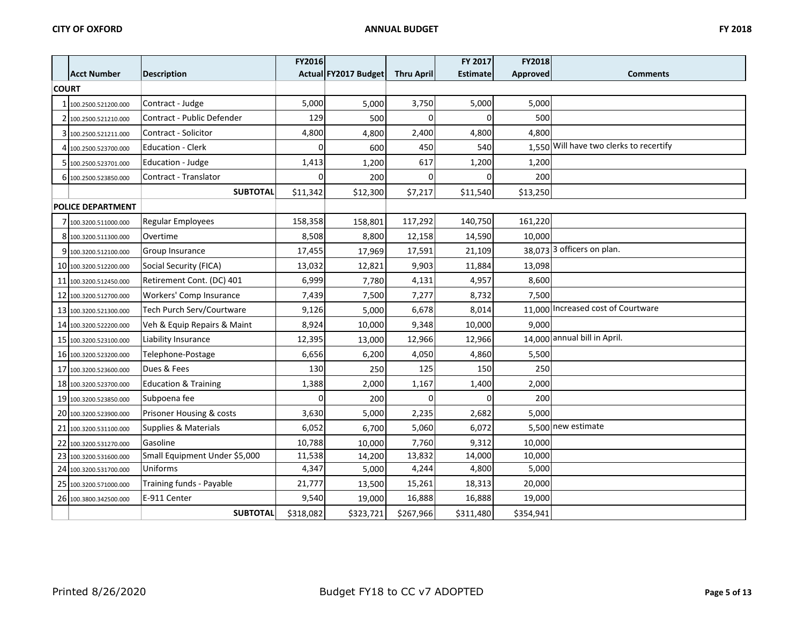|              |                          |                                   | FY2016    |                      |                   | FY 2017         | FY2018    |                                         |
|--------------|--------------------------|-----------------------------------|-----------|----------------------|-------------------|-----------------|-----------|-----------------------------------------|
|              | <b>Acct Number</b>       | <b>Description</b>                |           | Actual FY2017 Budget | <b>Thru April</b> | <b>Estimate</b> | Approved  | <b>Comments</b>                         |
| <b>COURT</b> |                          |                                   |           |                      |                   |                 |           |                                         |
|              | 100.2500.521200.000      | Contract - Judge                  | 5,000     | 5,000                | 3,750             | 5,000           | 5,000     |                                         |
|              | 100.2500.521210.000      | <b>Contract - Public Defender</b> | 129       | 500                  | ŋ                 | 0               | 500       |                                         |
|              | 100.2500.521211.000      | Contract - Solicitor              | 4,800     | 4,800                | 2,400             | 4,800           | 4,800     |                                         |
|              | 4 100.2500.523700.000    | <b>Education - Clerk</b>          |           | 600                  | 450               | 540             |           | 1,550 Will have two clerks to recertify |
|              | 100.2500.523701.000      | Education - Judge                 | 1,413     | 1,200                | 617               | 1,200           | 1,200     |                                         |
|              | 6 100.2500.523850.000    | Contract - Translator             |           | 200                  |                   | 0               | 200       |                                         |
|              |                          | <b>SUBTOTAL</b>                   | \$11,342  | \$12,300             | \$7,217           | \$11,540        | \$13,250  |                                         |
|              | <b>POLICE DEPARTMENT</b> |                                   |           |                      |                   |                 |           |                                         |
|              | 100.3200.511000.000      | Regular Employees                 | 158,358   | 158,801              | 117,292           | 140,750         | 161,220   |                                         |
|              | 8 100.3200.511300.000    | Overtime                          | 8,508     | 8,800                | 12,158            | 14,590          | 10,000    |                                         |
|              | 100.3200.512100.000      | Group Insurance                   | 17,455    | 17,969               | 17,591            | 21,109          |           | 38,073 3 officers on plan.              |
|              | 10 100.3200.512200.000   | Social Security (FICA)            | 13,032    | 12,821               | 9,903             | 11,884          | 13,098    |                                         |
|              | 11 100.3200.512450.000   | Retirement Cont. (DC) 401         | 6,999     | 7,780                | 4,131             | 4,957           | 8,600     |                                         |
|              | 12 100.3200.512700.000   | Workers' Comp Insurance           | 7,439     | 7,500                | 7,277             | 8,732           | 7,500     |                                         |
|              | 13 100.3200.521300.000   | Tech Purch Serv/Courtware         | 9,126     | 5,000                | 6,678             | 8,014           |           | 11,000 Increased cost of Courtware      |
|              | 14 100.3200.522200.000   | Veh & Equip Repairs & Maint       | 8,924     | 10,000               | 9,348             | 10,000          | 9,000     |                                         |
|              | 15 100.3200.523100.000   | Liability Insurance               | 12,395    | 13,000               | 12,966            | 12,966          |           | 14,000 annual bill in April.            |
|              | 16 100.3200.523200.000   | Telephone-Postage                 | 6,656     | 6,200                | 4,050             | 4,860           | 5,500     |                                         |
|              | 17 100.3200.523600.000   | Dues & Fees                       | 130       | 250                  | 125               | 150             | 250       |                                         |
|              | 18 100.3200.523700.000   | <b>Education &amp; Training</b>   | 1,388     | 2,000                | 1,167             | 1,400           | 2,000     |                                         |
|              | 19 100.3200.523850.000   | Subpoena fee                      | $\Omega$  | 200                  | <sup>0</sup>      | $\Omega$        | 200       |                                         |
|              | 20 100.3200.523900.000   | Prisoner Housing & costs          | 3,630     | 5,000                | 2,235             | 2,682           | 5,000     |                                         |
|              | 21 100.3200.531100.000   | Supplies & Materials              | 6,052     | 6,700                | 5,060             | 6,072           |           | 5,500 new estimate                      |
|              | 22 100.3200.531270.000   | Gasoline                          | 10,788    | 10,000               | 7,760             | 9,312           | 10,000    |                                         |
|              | 23 100.3200.531600.000   | Small Equipment Under \$5,000     | 11,538    | 14,200               | 13,832            | 14,000          | 10,000    |                                         |
|              | 24 100.3200.531700.000   | Uniforms                          | 4,347     | 5,000                | 4,244             | 4,800           | 5,000     |                                         |
|              | 25 100.3200.571000.000   | Training funds - Payable          | 21,777    | 13,500               | 15,261            | 18,313          | 20,000    |                                         |
|              | 26 100.3800.342500.000   | E-911 Center                      | 9,540     | 19,000               | 16,888            | 16,888          | 19,000    |                                         |
|              |                          | <b>SUBTOTAL</b>                   | \$318,082 | \$323,721            | \$267,966         | \$311,480       | \$354,941 |                                         |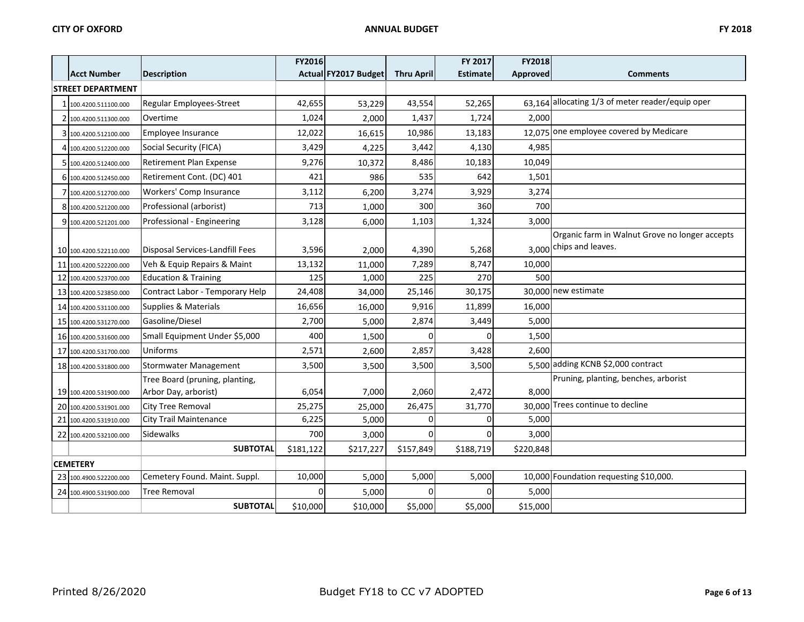|    |                          |                                 | <b>FY2016</b> |                      |                   | FY 2017         | <b>FY2018</b> |                                                  |
|----|--------------------------|---------------------------------|---------------|----------------------|-------------------|-----------------|---------------|--------------------------------------------------|
|    | <b>Acct Number</b>       | <b>Description</b>              |               | Actual FY2017 Budget | <b>Thru April</b> | <b>Estimate</b> | Approved      | <b>Comments</b>                                  |
|    | <b>STREET DEPARTMENT</b> |                                 |               |                      |                   |                 |               |                                                  |
|    | 100.4200.511100.000      | Regular Employees-Street        | 42,655        | 53,229               | 43,554            | 52,265          |               | 63,164 allocating 1/3 of meter reader/equip oper |
|    | 100.4200.511300.000      | Overtime                        | 1,024         | 2,000                | 1,437             | 1,724           | 2,000         |                                                  |
|    | 100.4200.512100.000      | Employee Insurance              | 12,022        | 16,615               | 10,986            | 13,183          |               | 12,075 one employee covered by Medicare          |
|    | 100.4200.512200.000      | Social Security (FICA)          | 3,429         | 4,225                | 3,442             | 4,130           | 4,985         |                                                  |
|    | 100.4200.512400.000      | <b>Retirement Plan Expense</b>  | 9,276         | 10,372               | 8,486             | 10,183          | 10,049        |                                                  |
|    | 6 100.4200.512450.000    | Retirement Cont. (DC) 401       | 421           | 986                  | 535               | 642             | 1,501         |                                                  |
|    | 100.4200.512700.000      | Workers' Comp Insurance         | 3,112         | 6,200                | 3,274             | 3,929           | 3,274         |                                                  |
|    | 8 100.4200.521200.000    | Professional (arborist)         | 713           | 1,000                | 300               | 360             | 700           |                                                  |
|    | 9 100.4200.521201.000    | Professional - Engineering      | 3,128         | 6,000                | 1,103             | 1,324           | 3,000         |                                                  |
|    |                          |                                 |               |                      |                   |                 |               | Organic farm in Walnut Grove no longer accepts   |
|    | 10 100.4200.522110.000   | Disposal Services-Landfill Fees | 3,596         | 2,000                | 4,390             | 5,268           |               | 3,000 chips and leaves.                          |
|    | 11 100.4200.522200.000   | Veh & Equip Repairs & Maint     | 13,132        | 11,000               | 7,289             | 8,747           | 10,000        |                                                  |
| 12 | 100.4200.523700.000      | <b>Education &amp; Training</b> | 125           | 1,000                | 225               | 270             | 500           |                                                  |
|    | 13 100.4200.523850.000   | Contract Labor - Temporary Help | 24,408        | 34,000               | 25,146            | 30,175          |               | 30.000 new estimate                              |
|    | 14 100.4200.531100.000   | Supplies & Materials            | 16,656        | 16,000               | 9,916             | 11,899          | 16,000        |                                                  |
|    | 15 100.4200.531270.000   | Gasoline/Diesel                 | 2,700         | 5,000                | 2,874             | 3,449           | 5,000         |                                                  |
|    | 16 100.4200.531600.000   | Small Equipment Under \$5,000   | 400           | 1,500                |                   |                 | 1,500         |                                                  |
|    | 17 100.4200.531700.000   | Uniforms                        | 2,571         | 2,600                | 2,857             | 3,428           | 2,600         |                                                  |
|    | 18 100.4200.531800.000   | <b>Stormwater Management</b>    | 3,500         | 3,500                | 3,500             | 3,500           |               | 5,500 adding KCNB \$2,000 contract               |
|    |                          | Tree Board (pruning, planting,  |               |                      |                   |                 |               | Pruning, planting, benches, arborist             |
|    | 19 100.4200.531900.000   | Arbor Day, arborist)            | 6,054         | 7,000                | 2,060             | 2,472           | 8,000         |                                                  |
|    | 20 100.4200.531901.000   | City Tree Removal               | 25,275        | 25,000               | 26,475            | 31,770          |               | 30,000 Trees continue to decline                 |
| 21 | 100.4200.531910.000      | <b>City Trail Maintenance</b>   | 6,225         | 5,000                | 0                 | 0               | 5,000         |                                                  |
|    | 22 100.4200.532100.000   | Sidewalks                       | 700           | 3,000                |                   | $\Omega$        | 3,000         |                                                  |
|    |                          | <b>SUBTOTAL</b>                 | \$181,122     | \$217,227            | \$157,849         | \$188,719       | \$220,848     |                                                  |
|    | <b>CEMETERY</b>          |                                 |               |                      |                   |                 |               |                                                  |
|    | 23 100.4900.522200.000   | Cemetery Found. Maint. Suppl.   | 10,000        | 5,000                | 5,000             | 5,000           |               | 10,000 Foundation requesting \$10,000.           |
|    | 24 100.4900.531900.000   | Tree Removal                    |               | 5,000                |                   | 0               | 5,000         |                                                  |
|    |                          | <b>SUBTOTAL</b>                 | \$10,000      | \$10,000             | \$5,000           | \$5,000         | \$15,000      |                                                  |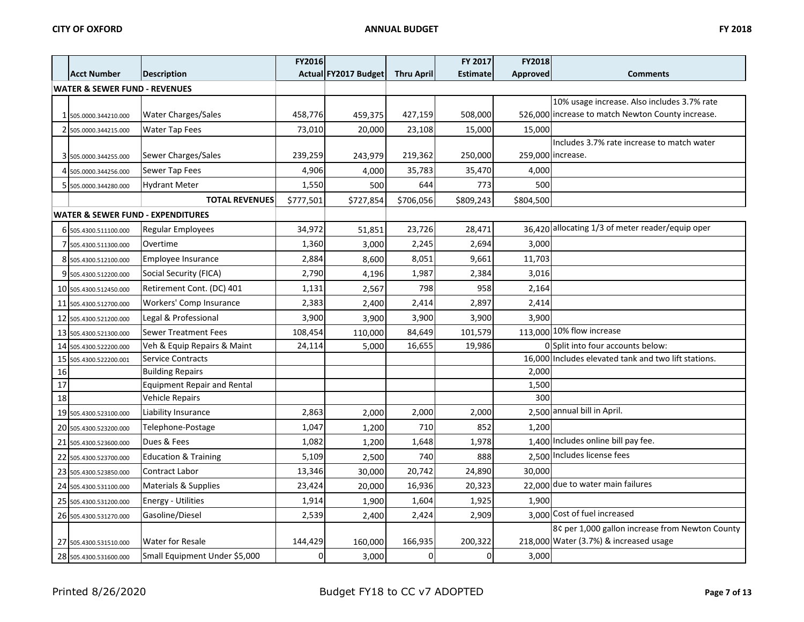|    |                                              |                                    | FY2016    |                      |                   | FY 2017         | <b>FY2018</b> |                                                      |  |
|----|----------------------------------------------|------------------------------------|-----------|----------------------|-------------------|-----------------|---------------|------------------------------------------------------|--|
|    | <b>Acct Number</b>                           | <b>Description</b>                 |           | Actual FY2017 Budget | <b>Thru April</b> | <b>Estimate</b> | Approved      | <b>Comments</b>                                      |  |
|    | <b>WATER &amp; SEWER FUND - REVENUES</b>     |                                    |           |                      |                   |                 |               |                                                      |  |
|    |                                              |                                    |           |                      |                   |                 |               | 10% usage increase. Also includes 3.7% rate          |  |
|    | 1 505.0000.344210.000                        | <b>Water Charges/Sales</b>         | 458,776   | 459,375              | 427,159           | 508,000         |               | 526,000 increase to match Newton County increase.    |  |
|    | 2 505.0000.344215.000                        | <b>Water Tap Fees</b>              | 73,010    | 20,000               | 23,108            | 15,000          | 15,000        |                                                      |  |
|    |                                              |                                    |           |                      |                   |                 |               | Includes 3.7% rate increase to match water           |  |
|    | 3 505.0000.344255.000                        | Sewer Charges/Sales                | 239,259   | 243,979              | 219,362           | 250,000         |               | 259,000 increase.                                    |  |
|    | 4 505.0000.344256.000                        | Sewer Tap Fees                     | 4,906     | 4,000                | 35,783            | 35,470          | 4,000         |                                                      |  |
|    | 5 505.0000.344280.000                        | <b>Hydrant Meter</b>               | 1,550     | 500                  | 644               | 773             | 500           |                                                      |  |
|    |                                              | <b>TOTAL REVENUES</b>              | \$777,501 | \$727,854            | \$706,056         | \$809,243       | \$804,500     |                                                      |  |
|    | <b>WATER &amp; SEWER FUND - EXPENDITURES</b> |                                    |           |                      |                   |                 |               |                                                      |  |
|    | 6 505.4300.511100.000                        | Regular Employees                  | 34,972    | 51,851               | 23,726            | 28,471          |               | 36,420 allocating 1/3 of meter reader/equip oper     |  |
|    | 7 505.4300.511300.000                        | Overtime                           | 1,360     | 3,000                | 2,245             | 2,694           | 3,000         |                                                      |  |
|    | 8 505.4300.512100.000                        | Employee Insurance                 | 2,884     | 8,600                | 8,051             | 9,661           | 11,703        |                                                      |  |
|    | 9 505.4300.512200.000                        | Social Security (FICA)             | 2,790     | 4,196                | 1,987             | 2,384           | 3,016         |                                                      |  |
|    | 10 505.4300.512450.000                       | Retirement Cont. (DC) 401          | 1,131     | 2,567                | 798               | 958             | 2,164         |                                                      |  |
| 11 | 505.4300.512700.000                          | Workers' Comp Insurance            | 2,383     | 2,400                | 2,414             | 2,897           | 2,414         |                                                      |  |
|    | 12 505.4300.521200.000                       | Legal & Professional               | 3,900     | 3,900                | 3,900             | 3,900           | 3,900         |                                                      |  |
|    | 13 505.4300.521300.000                       | <b>Sewer Treatment Fees</b>        | 108,454   | 110,000              | 84,649            | 101,579         |               | 113,000 10% flow increase                            |  |
|    | 14 505.4300.522200.000                       | Veh & Equip Repairs & Maint        | 24,114    | 5,000                | 16,655            | 19,986          |               | 0 Split into four accounts below:                    |  |
|    | 15 505.4300.522200.001                       | <b>Service Contracts</b>           |           |                      |                   |                 |               | 16,000 Includes elevated tank and two lift stations. |  |
| 16 |                                              | <b>Building Repairs</b>            |           |                      |                   |                 | 2,000         |                                                      |  |
| 17 |                                              | <b>Equipment Repair and Rental</b> |           |                      |                   |                 | 1,500         |                                                      |  |
| 18 |                                              | <b>Vehicle Repairs</b>             |           |                      |                   |                 | 300           |                                                      |  |
|    | 19 505.4300.523100.000                       | Liability Insurance                | 2,863     | 2,000                | 2,000             | 2,000           |               | 2,500 annual bill in April.                          |  |
|    | 20 505.4300.523200.000                       | Telephone-Postage                  | 1,047     | 1,200                | 710               | 852             | 1,200         |                                                      |  |
|    | 21 505.4300.523600.000                       | Dues & Fees                        | 1,082     | 1,200                | 1,648             | 1,978           |               | 1,400 Includes online bill pay fee.                  |  |
|    | 22 505.4300.523700.000                       | <b>Education &amp; Training</b>    | 5,109     | 2,500                | 740               | 888             |               | 2,500 Includes license fees                          |  |
|    | 23 505.4300.523850.000                       | <b>Contract Labor</b>              | 13,346    | 30,000               | 20,742            | 24,890          | 30.000        |                                                      |  |
|    | 24 505.4300.531100.000                       | Materials & Supplies               | 23,424    | 20,000               | 16,936            | 20,323          |               | 22,000 due to water main failures                    |  |
|    | 25 505.4300.531200.000                       | Energy - Utilities                 | 1,914     | 1,900                | 1,604             | 1,925           | 1,900         |                                                      |  |
|    | 26 505.4300.531270.000                       | Gasoline/Diesel                    | 2,539     | 2,400                | 2,424             | 2,909           |               | 3,000 Cost of fuel increased                         |  |
|    |                                              |                                    |           |                      |                   |                 |               | 8¢ per 1,000 gallon increase from Newton County      |  |
|    | 27 505.4300.531510.000                       | <b>Water for Resale</b>            | 144,429   | 160,000              | 166,935           | 200,322         |               | 218,000 Water (3.7%) & increased usage               |  |
|    | 28 505.4300.531600.000                       | Small Equipment Under \$5,000      | $\Omega$  | 3,000                | $\Omega$          | $\overline{0}$  | 3,000         |                                                      |  |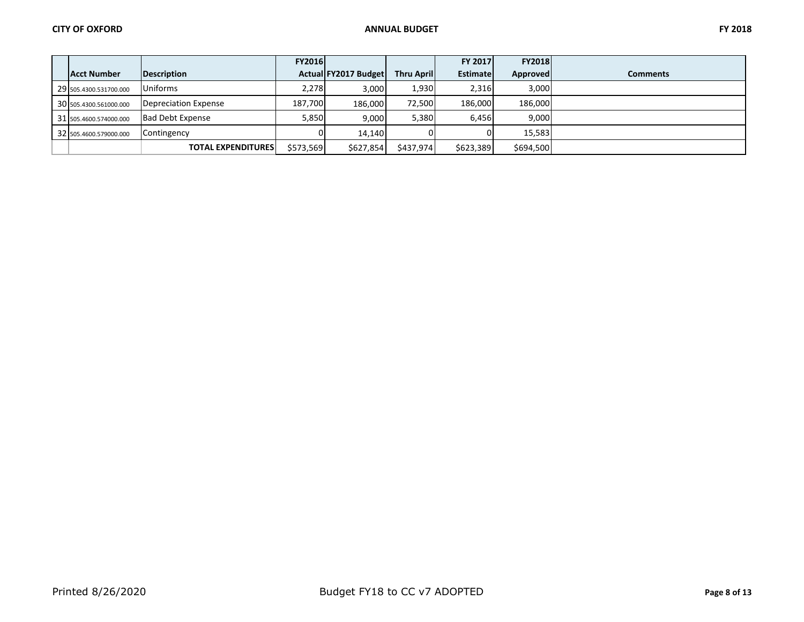|                        |                           | <b>FY2016</b> |                      |                    | <b>FY 2017</b>  | <b>FY2018</b>   |                 |
|------------------------|---------------------------|---------------|----------------------|--------------------|-----------------|-----------------|-----------------|
| <b>Acct Number</b>     | Description               |               | Actual FY2017 Budget | <b>Thru Aprill</b> | <b>Estimate</b> | <b>Approved</b> | <b>Comments</b> |
| 29 505.4300.531700.000 | Uniforms                  | 2.278         | 3.000                | 1,930              | 2,316           | 3,000           |                 |
| 30 505.4300.561000.000 | Depreciation Expense      | 187,700       | 186.000              | 72.500             | 186,000         | 186,000         |                 |
| 31 505.4600.574000.000 | <b>Bad Debt Expense</b>   | 5,850         | 9.000                | 5,380              | 6,456           | 9.000           |                 |
| 32 505.4600.579000.000 | Contingency               |               | 14.140               |                    |                 | 15.583          |                 |
|                        | <b>TOTAL EXPENDITURES</b> | \$573,569     | \$627,854            | \$437,974          | \$623,389       | \$694,500       |                 |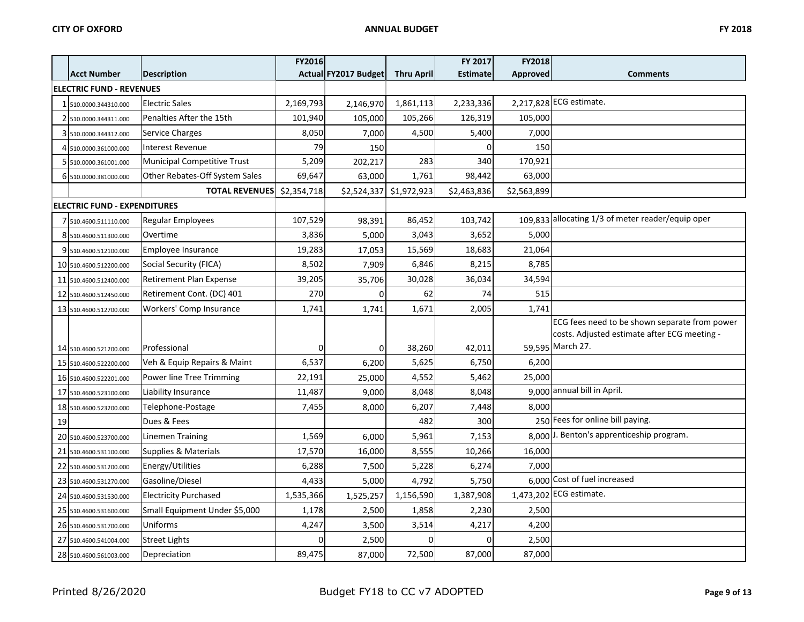|    |                                     |                                    | FY2016      |                         |                   | FY 2017         | FY2018      |                                                   |
|----|-------------------------------------|------------------------------------|-------------|-------------------------|-------------------|-----------------|-------------|---------------------------------------------------|
|    | <b>Acct Number</b>                  | <b>Description</b>                 |             | Actual FY2017 Budget    | <b>Thru April</b> | <b>Estimate</b> | Approved    | <b>Comments</b>                                   |
|    | <b>ELECTRIC FUND - REVENUES</b>     |                                    |             |                         |                   |                 |             |                                                   |
|    | 510.0000.344310.000                 | <b>Electric Sales</b>              | 2,169,793   | 2,146,970               | 1,861,113         | 2,233,336       |             | 2,217,828 ECG estimate.                           |
|    | 510.0000.344311.000                 | Penalties After the 15th           | 101,940     | 105,000                 | 105,266           | 126,319         | 105,000     |                                                   |
|    | 3 510.0000.344312.000               | Service Charges                    | 8,050       | 7,000                   | 4,500             | 5,400           | 7,000       |                                                   |
|    | 4 510.0000.361000.000               | <b>Interest Revenue</b>            | 79          | 150                     |                   |                 | 150         |                                                   |
|    | 5 510.0000.361001.000               | <b>Municipal Competitive Trust</b> | 5,209       | 202,217                 | 283               | 340             | 170,921     |                                                   |
|    | 6 510.0000.381000.000               | Other Rebates-Off System Sales     | 69,647      | 63,000                  | 1,761             | 98,442          | 63,000      |                                                   |
|    |                                     | <b>TOTAL REVENUES</b>              | \$2,354,718 | \$2,524,337 \$1,972,923 |                   | \$2,463,836     | \$2,563,899 |                                                   |
|    | <b>ELECTRIC FUND - EXPENDITURES</b> |                                    |             |                         |                   |                 |             |                                                   |
|    | 7 510.4600.511110.000               | Regular Employees                  | 107,529     | 98,391                  | 86,452            | 103,742         |             | 109,833 allocating 1/3 of meter reader/equip oper |
|    | 8 510.4600.511300.000               | Overtime                           | 3,836       | 5,000                   | 3,043             | 3,652           | 5,000       |                                                   |
|    | 9 510.4600.512100.000               | Employee Insurance                 | 19,283      | 17,053                  | 15,569            | 18,683          | 21,064      |                                                   |
|    | 10 510.4600.512200.000              | Social Security (FICA)             | 8,502       | 7,909                   | 6,846             | 8,215           | 8,785       |                                                   |
|    | 11 510.4600.512400.000              | Retirement Plan Expense            | 39,205      | 35,706                  | 30,028            | 36,034          | 34,594      |                                                   |
|    | 12 510.4600.512450.000              | Retirement Cont. (DC) 401          | 270         | $\Omega$                | 62                | 74              | 515         |                                                   |
|    | 13 510.4600.512700.000              | Workers' Comp Insurance            | 1,741       | 1,741                   | 1,671             | 2,005           | 1,741       |                                                   |
|    |                                     |                                    |             |                         |                   |                 |             | ECG fees need to be shown separate from power     |
|    |                                     |                                    |             |                         |                   |                 |             | costs. Adjusted estimate after ECG meeting -      |
|    | 14 510.4600.521200.000              | Professional                       | 0           | $\overline{0}$          | 38,260            | 42,011          |             | 59,595 March 27.                                  |
|    | 15 510.4600.522200.000              | Veh & Equip Repairs & Maint        | 6,537       | 6,200                   | 5,625             | 6,750           | 6,200       |                                                   |
|    | 16 510.4600.522201.000              | Power line Tree Trimming           | 22,191      | 25,000                  | 4,552             | 5,462           | 25,000      |                                                   |
|    | 17 510.4600.523100.000              | Liability Insurance                | 11,487      | 9,000                   | 8,048             | 8,048           |             | 9,000 annual bill in April.                       |
|    | 18 510.4600.523200.000              | Telephone-Postage                  | 7,455       | 8,000                   | 6,207             | 7,448           | 8,000       |                                                   |
| 19 |                                     | Dues & Fees                        |             |                         | 482               | 300             |             | 250 Fees for online bill paying.                  |
|    | 20 510.4600.523700.000              | <b>Linemen Training</b>            | 1,569       | 6,000                   | 5,961             | 7,153           |             | 8,000 J. Benton's apprenticeship program.         |
| 21 | 510.4600.531100.000                 | Supplies & Materials               | 17,570      | 16,000                  | 8,555             | 10,266          | 16,000      |                                                   |
|    | 22 510.4600.531200.000              | Energy/Utilities                   | 6,288       | 7,500                   | 5,228             | 6,274           | 7,000       |                                                   |
|    | 23 510.4600.531270.000              | Gasoline/Diesel                    | 4,433       | 5,000                   | 4,792             | 5,750           |             | 6,000 Cost of fuel increased                      |
|    | 24 510.4600.531530.000              | <b>Electricity Purchased</b>       | 1,535,366   | 1,525,257               | 1,156,590         | 1,387,908       |             | 1,473,202 ECG estimate.                           |
|    | 25 510.4600.531600.000              | Small Equipment Under \$5,000      | 1,178       | 2,500                   | 1,858             | 2,230           | 2,500       |                                                   |
|    | 26 510.4600.531700.000              | Uniforms                           | 4,247       | 3,500                   | 3,514             | 4,217           | 4,200       |                                                   |
|    | 27 510.4600.541004.000              | <b>Street Lights</b>               |             | 2,500                   |                   | ŋ               | 2,500       |                                                   |
|    | 28 510.4600.561003.000              | Depreciation                       | 89,475      | 87,000                  | 72,500            | 87,000          | 87,000      |                                                   |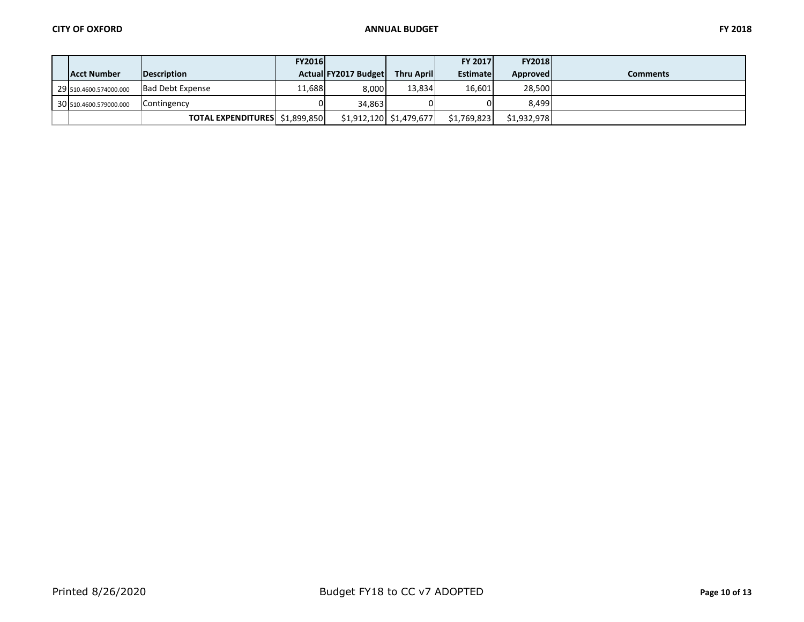|  | г |
|--|---|
|--|---|

|                        |                                | <b>FY2016</b> |                      |                           | <b>FY 2017</b> | <b>FY2018</b>   |                 |
|------------------------|--------------------------------|---------------|----------------------|---------------------------|----------------|-----------------|-----------------|
| Acct Number            | <b>IDescription</b>            |               | Actual FY2017 Budget | <b>Thru Aprill</b>        | Estimatel      | <b>Approved</b> | <b>Comments</b> |
| 29 510.4600.574000.000 | <b>Bad Debt Expense</b>        | 11,688        | 8.000                | 13.834                    | 16,601         | 28,500          |                 |
| 30 510.4600.579000.000 | Contingency                    |               | 34.863               |                           |                | 8.499           |                 |
|                        | TOTAL EXPENDITURES \$1,899,850 |               |                      | $$1,912,120$ $$1,479,677$ | \$1.769.823    | \$1,932,978     |                 |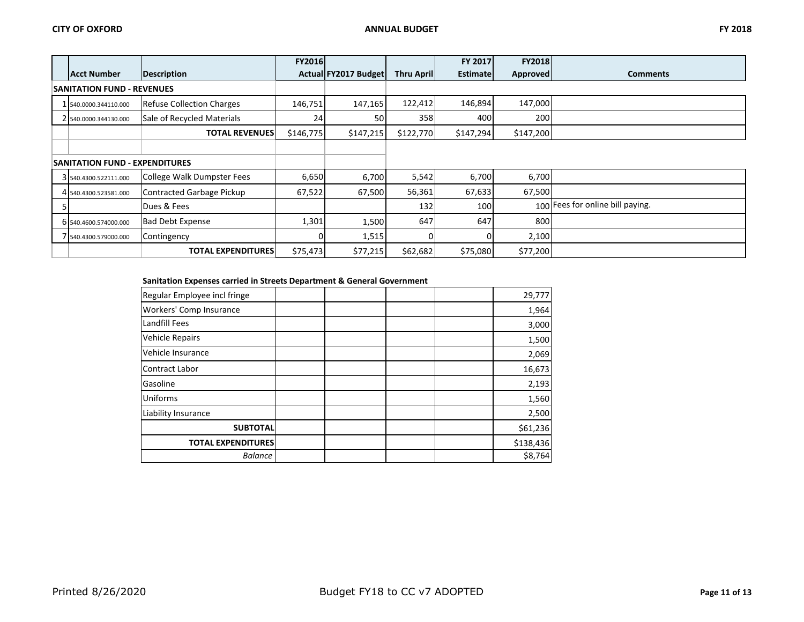|                                       |                                  | <b>FY2016</b> |                      |                   | FY 2017         | <b>FY2018</b>   |                                  |
|---------------------------------------|----------------------------------|---------------|----------------------|-------------------|-----------------|-----------------|----------------------------------|
| <b>Acct Number</b>                    | <b>Description</b>               |               | Actual FY2017 Budget | <b>Thru April</b> | <b>Estimate</b> | <b>Approved</b> | <b>Comments</b>                  |
| <b>SANITATION FUND - REVENUES</b>     |                                  |               |                      |                   |                 |                 |                                  |
| 540.0000.344110.000                   | <b>Refuse Collection Charges</b> | 146,751       | 147,165              | 122,412           | 146,894         | 147,000         |                                  |
| 2 540.0000.344130.000                 | Sale of Recycled Materials       | 24            | 50                   | 358               | 400             | 200             |                                  |
|                                       | <b>TOTAL REVENUES</b>            | \$146,775     | \$147,215            | \$122,770         | \$147,294       | \$147,200       |                                  |
|                                       |                                  |               |                      |                   |                 |                 |                                  |
| <b>SANITATION FUND - EXPENDITURES</b> |                                  |               |                      |                   |                 |                 |                                  |
| 3 540.4300.522111.000                 | College Walk Dumpster Fees       | 6,650         | 6,700                | 5,542             | 6,700           | 6,700           |                                  |
| 4 540.4300.523581.000                 | Contracted Garbage Pickup        | 67,522        | 67,500               | 56,361            | 67,633          | 67,500          |                                  |
|                                       | Dues & Fees                      |               |                      | 132               | 100             |                 | 100 Fees for online bill paying. |
| 6 540.4600.574000.000                 | <b>Bad Debt Expense</b>          | 1,301         | 1,500                | 647               | 647             | 800             |                                  |
| 7 540.4300.579000.000                 | Contingency                      |               | 1,515                |                   |                 | 2,100           |                                  |
|                                       | <b>TOTAL EXPENDITURES</b>        | \$75,473      | \$77,215             | \$62,682          | \$75,080        | \$77,200        |                                  |

## **Sanitation Expenses carried in Streets Department & General Government**

| Regular Employee incl fringe |  |  | 29,777    |
|------------------------------|--|--|-----------|
| Workers' Comp Insurance      |  |  | 1,964     |
| Landfill Fees                |  |  | 3,000     |
| <b>Vehicle Repairs</b>       |  |  | 1,500     |
| Vehicle Insurance            |  |  | 2,069     |
| Contract Labor               |  |  | 16,673    |
| Gasoline                     |  |  | 2,193     |
| Uniforms                     |  |  | 1,560     |
| Liability Insurance          |  |  | 2,500     |
| <b>SUBTOTAL</b>              |  |  | \$61,236  |
| <b>TOTAL EXPENDITURES</b>    |  |  | \$138,436 |
| <b>Balance</b>               |  |  | \$8,764   |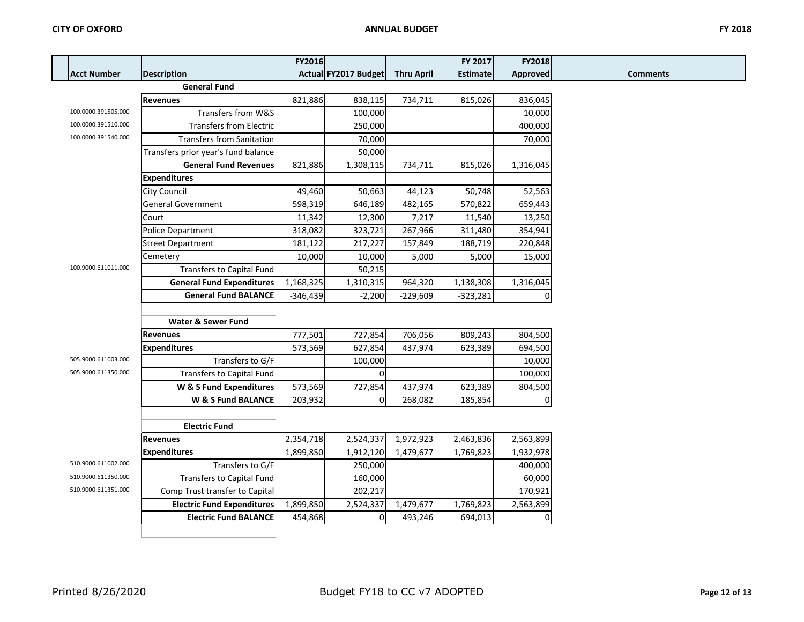|                     |                                     | FY2016     |                      |                   | FY 2017         | FY2018          |  |
|---------------------|-------------------------------------|------------|----------------------|-------------------|-----------------|-----------------|--|
| <b>Acct Number</b>  | <b>Description</b>                  |            | Actual FY2017 Budget | <b>Thru April</b> | <b>Estimate</b> | <b>Approved</b> |  |
|                     | <b>General Fund</b>                 |            |                      |                   |                 |                 |  |
|                     | <b>Revenues</b>                     | 821,886    | 838,115              | 734,711           | 815,026         | 836,045         |  |
| 100.0000.391505.000 | Transfers from W&S                  |            | 100,000              |                   |                 | 10,000          |  |
| 100.0000.391510.000 | <b>Transfers from Electric</b>      |            | 250,000              |                   |                 | 400,000         |  |
| 100.0000.391540.000 | <b>Transfers from Sanitation</b>    |            | 70,000               |                   |                 | 70,000          |  |
|                     | Transfers prior year's fund balance |            | 50,000               |                   |                 |                 |  |
|                     | <b>General Fund Revenues</b>        | 821,886    | 1,308,115            | 734,711           | 815,026         | 1,316,045       |  |
|                     | <b>Expenditures</b>                 |            |                      |                   |                 |                 |  |
|                     | City Council                        | 49,460     | 50,663               | 44,123            | 50,748          | 52,563          |  |
|                     | <b>General Government</b>           | 598,319    | 646,189              | 482,165           | 570,822         | 659,443         |  |
|                     | Court                               | 11,342     | 12,300               | 7,217             | 11,540          | 13,250          |  |
|                     | Police Department                   | 318,082    | 323,721              | 267,966           | 311,480         | 354,941         |  |
|                     | <b>Street Department</b>            | 181,122    | 217,227              | 157,849           | 188,719         | 220,848         |  |
|                     | Cemetery                            | 10,000     | 10,000               | 5,000             | 5,000           | 15,000          |  |
| 100.9000.611011.000 | <b>Transfers to Capital Fund</b>    |            | 50,215               |                   |                 |                 |  |
|                     | <b>General Fund Expenditures</b>    | 1,168,325  | 1,310,315            | 964,320           | 1,138,308       | 1,316,045       |  |
|                     | <b>General Fund BALANCE</b>         | $-346,439$ | $-2,200$             | $-229,609$        | $-323,281$      | $\Omega$        |  |
|                     |                                     |            |                      |                   |                 |                 |  |
|                     | <b>Water &amp; Sewer Fund</b>       |            |                      |                   |                 |                 |  |
|                     | <b>Revenues</b>                     | 777,501    | 727,854              | 706,056           | 809,243         | 804,500         |  |
|                     | <b>Expenditures</b>                 | 573,569    | 627,854              | 437,974           | 623,389         | 694,500         |  |
| 505.9000.611003.000 | Transfers to G/F                    |            | 100,000              |                   |                 | 10,000          |  |
| 505.9000.611350.000 | Transfers to Capital Fund           |            | $\Omega$             |                   |                 | 100,000         |  |
|                     | W & S Fund Expenditures             | 573,569    | 727,854              | 437,974           | 623,389         | 804,500         |  |
|                     | W & S Fund BALANCE                  | 203,932    | $\Omega$             | 268,082           | 185,854         | $\Omega$        |  |
|                     |                                     |            |                      |                   |                 |                 |  |
|                     | <b>Electric Fund</b>                |            |                      |                   |                 |                 |  |
|                     | <b>Revenues</b>                     | 2,354,718  | 2,524,337            | 1,972,923         | 2,463,836       | 2,563,899       |  |
|                     | <b>Expenditures</b>                 | 1,899,850  | 1,912,120            | 1,479,677         | 1,769,823       | 1,932,978       |  |
| 510.9000.611002.000 | Transfers to G/F                    |            | 250,000              |                   |                 | 400,000         |  |
| 510.9000.611350.000 | Transfers to Capital Fund           |            | 160,000              |                   |                 | 60,000          |  |
| 510.9000.611351.000 | Comp Trust transfer to Capital      |            | 202,217              |                   |                 | 170,921         |  |
|                     | <b>Electric Fund Expenditures</b>   | 1,899,850  | 2,524,337            | 1,479,677         | 1,769,823       | 2,563,899       |  |
|                     | <b>Electric Fund BALANCE</b>        | 454,868    | 0                    | 493,246           | 694,013         | $\Omega$        |  |
|                     |                                     |            |                      |                   |                 |                 |  |